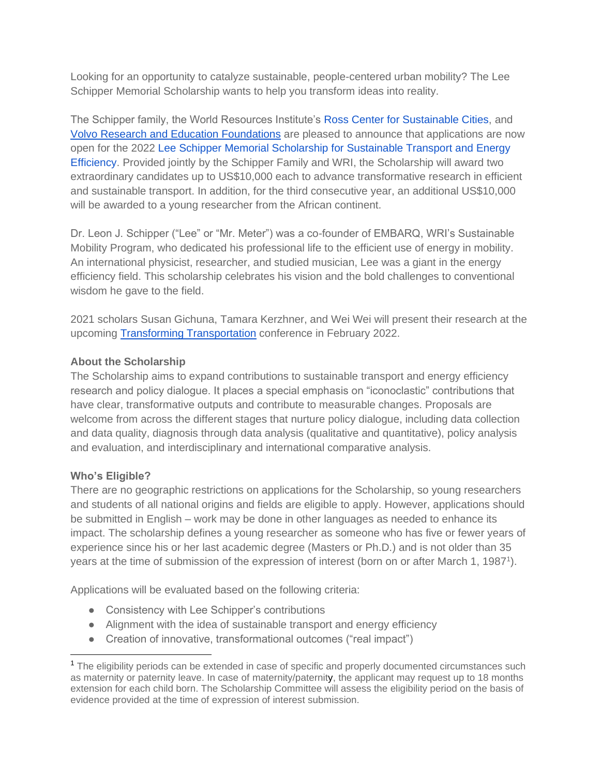Looking for an opportunity to catalyze sustainable, people-centered urban mobility? The Lee Schipper Memorial Scholarship wants to help you transform ideas into reality.

The Schipper family, the World Resources Institute's [Ross Center for Sustainable Cities,](http://www.wri.org/ross-center) and [Volvo Research and Education Foundations](http://www.vref.se/) are pleased to announce that applications are now open for the 2022 [Lee Schipper Memorial Scholarship for Sustainable Transport and Energy](http://leeschipper.embarq.org/)  [Efficiency.](http://leeschipper.embarq.org/) Provided jointly by the Schipper Family and WRI, the Scholarship will award two extraordinary candidates up to US\$10,000 each to advance transformative research in efficient and sustainable transport. In addition, for the third consecutive year, an additional US\$10,000 will be awarded to a young researcher from the African continent.

Dr. Leon J. Schipper ("Lee" or "Mr. Meter") was a co-founder of EMBARQ, WRI's Sustainable Mobility Program, who dedicated his professional life to the efficient use of energy in mobility. An international physicist, researcher, and studied musician, Lee was a giant in the energy efficiency field. This scholarship celebrates his vision and the bold challenges to conventional wisdom he gave to the field.

2021 scholars Susan Gichuna, Tamara Kerzhner, and Wei Wei will present their research at the upcoming [Transforming Transportation](https://www.transformingtransportation.org/) conference in February 2022.

## **About the Scholarship**

The Scholarship aims to expand contributions to sustainable transport and energy efficiency research and policy dialogue. It places a special emphasis on "iconoclastic" contributions that have clear, transformative outputs and contribute to measurable changes. Proposals are welcome from across the different stages that nurture policy dialogue, including data collection and data quality, diagnosis through data analysis (qualitative and quantitative), policy analysis and evaluation, and interdisciplinary and international comparative analysis.

## **Who's Eligible?**

There are no geographic restrictions on applications for the Scholarship, so young researchers and students of all national origins and fields are eligible to apply. However, applications should be submitted in English – work may be done in other languages as needed to enhance its impact. The scholarship defines a young researcher as someone who has five or fewer years of experience since his or her last academic degree (Masters or Ph.D.) and is not older than 35 years at the time of submission of the expression of interest (born on or after March 1, 1987<sup>1</sup>).

Applications will be evaluated based on the following criteria:

- Consistency with Lee Schipper's contributions
- Alignment with the idea of sustainable transport and energy efficiency
- Creation of innovative, transformational outcomes ("real impact")

<sup>&</sup>lt;sup>1</sup> The eligibility periods can be extended in case of specific and properly documented circumstances such as maternity or paternity leave. In case of maternity/paternity, the applicant may request up to 18 months extension for each child born. The Scholarship Committee will assess the eligibility period on the basis of evidence provided at the time of expression of interest submission.